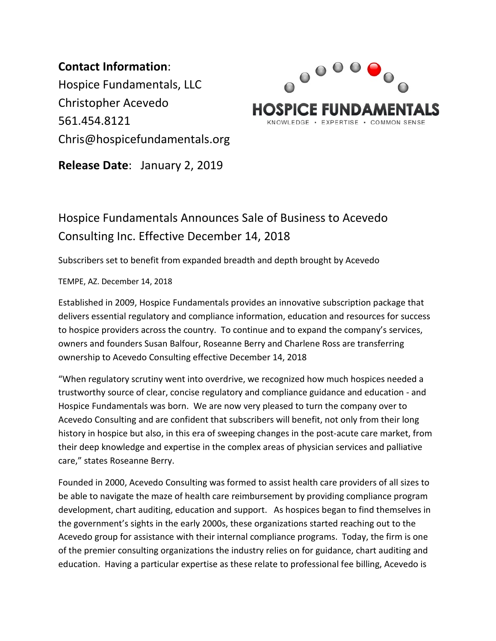**Contact Information**: Hospice Fundamentals, LLC Christopher Acevedo 561.454.8121 Chris@hospicefundamentals.org



**Release Date**: January 2, 2019

## Hospice Fundamentals Announces Sale of Business to Acevedo Consulting Inc. Effective December 14, 2018

Subscribers set to benefit from expanded breadth and depth brought by Acevedo

TEMPE, AZ. December 14, 2018

Established in 2009, Hospice Fundamentals provides an innovative subscription package that delivers essential regulatory and compliance information, education and resources for success to hospice providers across the country. To continue and to expand the company's services, owners and founders Susan Balfour, Roseanne Berry and Charlene Ross are transferring ownership to Acevedo Consulting effective December 14, 2018

"When regulatory scrutiny went into overdrive, we recognized how much hospices needed a trustworthy source of clear, concise regulatory and compliance guidance and education - and Hospice Fundamentals was born. We are now very pleased to turn the company over to Acevedo Consulting and are confident that subscribers will benefit, not only from their long history in hospice but also, in this era of sweeping changes in the post-acute care market, from their deep knowledge and expertise in the complex areas of physician services and palliative care," states Roseanne Berry.

Founded in 2000, Acevedo Consulting was formed to assist health care providers of all sizes to be able to navigate the maze of health care reimbursement by providing compliance program development, chart auditing, education and support. As hospices began to find themselves in the government's sights in the early 2000s, these organizations started reaching out to the Acevedo group for assistance with their internal compliance programs. Today, the firm is one of the premier consulting organizations the industry relies on for guidance, chart auditing and education. Having a particular expertise as these relate to professional fee billing, Acevedo is